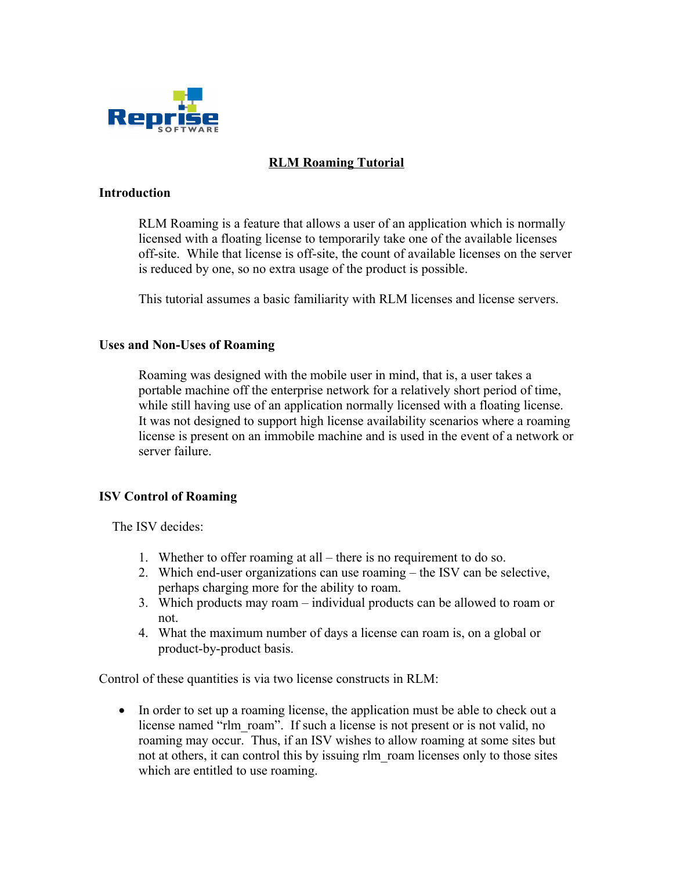

# **RLM Roaming Tutorial**

#### **Introduction**

RLM Roaming is a feature that allows a user of an application which is normally licensed with a floating license to temporarily take one of the available licenses off-site. While that license is off-site, the count of available licenses on the server is reduced by one, so no extra usage of the product is possible.

This tutorial assumes a basic familiarity with RLM licenses and license servers.

## **Uses and Non-Uses of Roaming**

Roaming was designed with the mobile user in mind, that is, a user takes a portable machine off the enterprise network for a relatively short period of time, while still having use of an application normally licensed with a floating license. It was not designed to support high license availability scenarios where a roaming license is present on an immobile machine and is used in the event of a network or server failure.

#### **ISV Control of Roaming**

The ISV decides:

- 1. Whether to offer roaming at all there is no requirement to do so.
- 2. Which end-user organizations can use roaming the ISV can be selective, perhaps charging more for the ability to roam.
- 3. Which products may roam individual products can be allowed to roam or not.
- 4. What the maximum number of days a license can roam is, on a global or product-by-product basis.

Control of these quantities is via two license constructs in RLM:

 In order to set up a roaming license, the application must be able to check out a license named "rlm\_roam". If such a license is not present or is not valid, no roaming may occur. Thus, if an ISV wishes to allow roaming at some sites but not at others, it can control this by issuing rlm\_roam licenses only to those sites which are entitled to use roaming.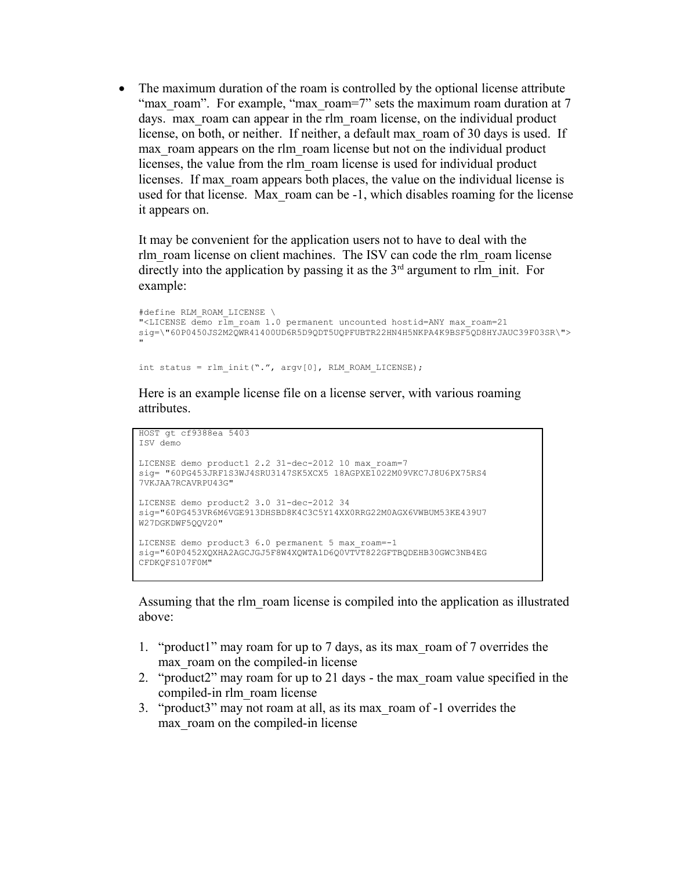• The maximum duration of the roam is controlled by the optional license attribute "max roam". For example, "max\_roam=7" sets the maximum roam duration at 7 days. max roam can appear in the rlm roam license, on the individual product license, on both, or neither. If neither, a default max\_roam of 30 days is used. If max roam appears on the rlm roam license but not on the individual product licenses, the value from the rlm\_roam license is used for individual product licenses. If max roam appears both places, the value on the individual license is used for that license. Max\_roam can be -1, which disables roaming for the license it appears on.

It may be convenient for the application users not to have to deal with the rlm\_roam license on client machines. The ISV can code the rlm\_roam license directly into the application by passing it as the  $3<sup>rd</sup>$  argument to rlm init. For example:

```
#define RLM_ROAM_LICENSE \
"<LICENSE demo rlm_roam 1.0 permanent uncounted hostid=ANY max_roam=21 
sig=\"60P0450JS2M2QWR41400UD6R5D9QDT5UQPFUBTR22HN4H5NKPA4K9BSF5QD8HYJAUC39F03SR\">
"
```

```
int status = rlm_init(".", argv[0], RLM_ROAM_LICENSE);
```
Here is an example license file on a license server, with various roaming attributes.

```
HOST gt cf9388ea 5403
ISV demo
LICENSE demo product1 2.2 31-dec-2012 10 max_roam=7 
sig= "60PG453JRF1S3WJ4SRU3147SK5XCX5 18AGPXE1022M09VKC7J8U6PX75RS4
7VKJAA7RCAVRPU43G" 
LICENSE demo product2 3.0 31-dec-2012 34 
sig="60PG453VR6M6VGE913DHSBD8K4C3C5Y14XX0RRG22M0AGX6VWBUM53KE439U7
W27DGKDWF5QQV20"
LICENSE demo product3 6.0 permanent 5 max_roam=-1
sig="60P0452XQXHA2AGCJGJ5F8W4XQWTA1D6Q0VTVT822GFTBQDEHB30GWC3NB4EG
CFDKQFS107F0M"
```
Assuming that the rlm\_roam license is compiled into the application as illustrated above:

- 1. "product1" may roam for up to 7 days, as its max\_roam of 7 overrides the max roam on the compiled-in license
- 2. "product2" may roam for up to 21 days the max\_roam value specified in the compiled-in rlm\_roam license
- 3. "product3" may not roam at all, as its max\_roam of -1 overrides the max roam on the compiled-in license